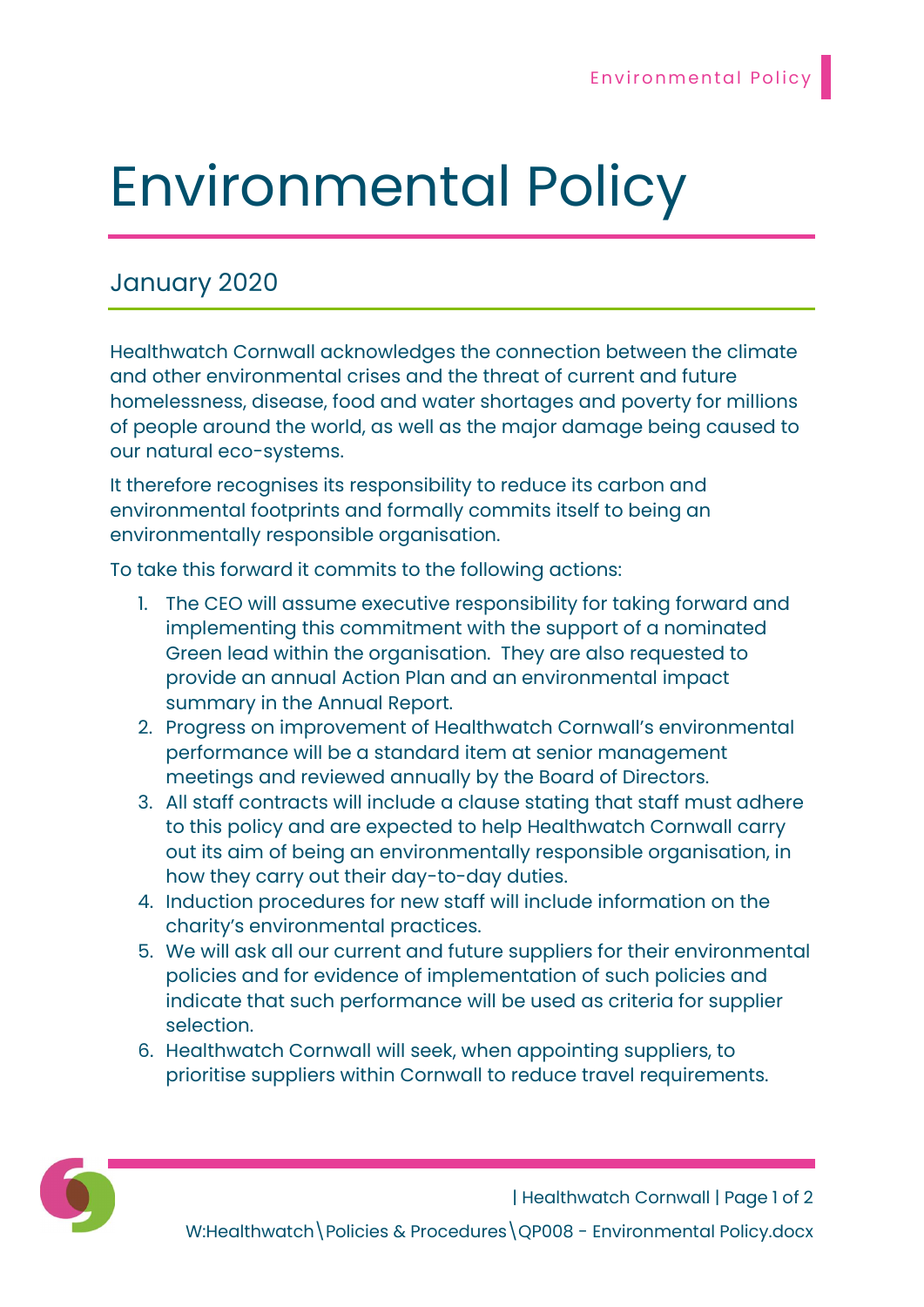## Environmental Policy

## January 2020

Healthwatch Cornwall acknowledges the connection between the climate and other environmental crises and the threat of current and future homelessness, disease, food and water shortages and poverty for millions of people around the world, as well as the major damage being caused to our natural eco-systems.

It therefore recognises its responsibility to reduce its carbon and environmental footprints and formally commits itself to being an environmentally responsible organisation.

To take this forward it commits to the following actions:

- 1. The CEO will assume executive responsibility for taking forward and implementing this commitment with the support of a nominated Green lead within the organisation. They are also requested to provide an annual Action Plan and an environmental impact summary in the Annual Report.
- 2. Progress on improvement of Healthwatch Cornwall's environmental performance will be a standard item at senior management meetings and reviewed annually by the Board of Directors.
- 3. All staff contracts will include a clause stating that staff must adhere to this policy and are expected to help Healthwatch Cornwall carry out its aim of being an environmentally responsible organisation, in how they carry out their day-to-day duties.
- 4. Induction procedures for new staff will include information on the charity's environmental practices.
- 5. We will ask all our current and future suppliers for their environmental policies and for evidence of implementation of such policies and indicate that such performance will be used as criteria for supplier selection.
- 6. Healthwatch Cornwall will seek, when appointing suppliers, to prioritise suppliers within Cornwall to reduce travel requirements.



| Healthwatch Cornwall | Page 1 of 2 W:Healthwatch\Policies & Procedures\QP008 - Environmental Policy.docx